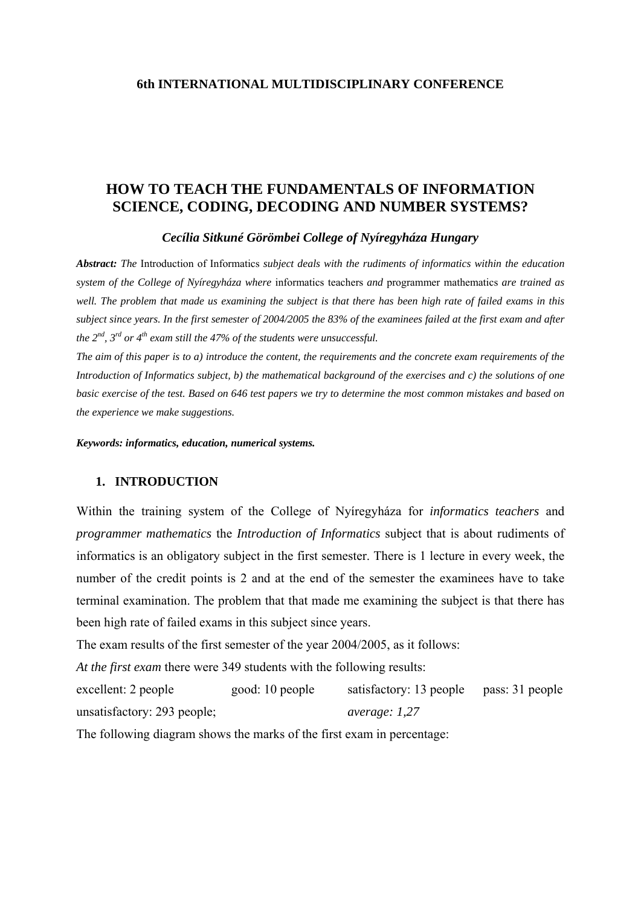## **HOW TO TEACH THE FUNDAMENTALS OF INFORMATION SCIENCE, CODING, DECODING AND NUMBER SYSTEMS?**

#### *Cecília Sitkuné Görömbei College of Nyíregyháza Hungary*

*Abstract: The* Introduction of Informatics *subject deals with the rudiments of informatics within the education system of the College of Nyíregyháza where* informatics teachers *and* programmer mathematics *are trained as well. The problem that made us examining the subject is that there has been high rate of failed exams in this subject since years. In the first semester of 2004/2005 the 83% of the examinees failed at the first exam and after the*  $2^{nd}$ ,  $3^{rd}$  or  $4^{th}$  exam still the 47% of the students were unsuccessful.

*The aim of this paper is to a) introduce the content, the requirements and the concrete exam requirements of the Introduction of Informatics subject, b) the mathematical background of the exercises and c) the solutions of one basic exercise of the test. Based on 646 test papers we try to determine the most common mistakes and based on the experience we make suggestions.* 

*Keywords: informatics, education, numerical systems.*

### **1. INTRODUCTION**

Within the training system of the College of Nyíregyháza for *informatics teachers* and *programmer mathematics* the *Introduction of Informatics* subject that is about rudiments of informatics is an obligatory subject in the first semester. There is 1 lecture in every week, the number of the credit points is 2 and at the end of the semester the examinees have to take terminal examination. The problem that that made me examining the subject is that there has been high rate of failed exams in this subject since years.

The exam results of the first semester of the year 2004/2005, as it follows:

*At the first exam* there were 349 students with the following results:

excellent: 2 people good: 10 people satisfactory: 13 people pass: 31 people unsatisfactory: 293 people; *average: 1,27*

The following diagram shows the marks of the first exam in percentage: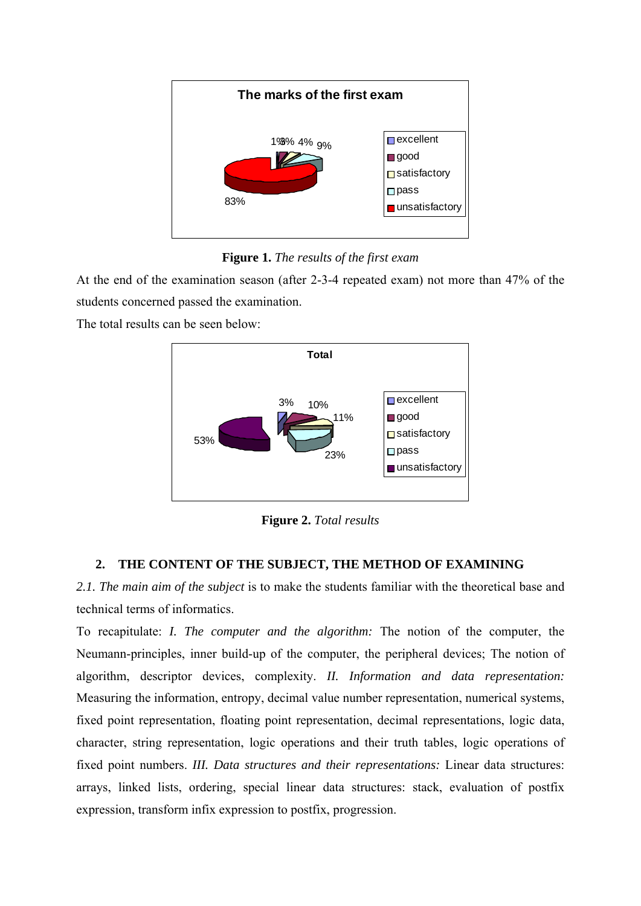

**Figure 1.** *The results of the first exam*

At the end of the examination season (after 2-3-4 repeated exam) not more than 47% of the students concerned passed the examination.

The total results can be seen below:



**Figure 2.** *Total results*

# **2. THE CONTENT OF THE SUBJECT, THE METHOD OF EXAMINING**

*2.1. The main aim of the subject* is to make the students familiar with the theoretical base and technical terms of informatics.

To recapitulate: *I. The computer and the algorithm:* The notion of the computer, the Neumann-principles, inner build-up of the computer, the peripheral devices; The notion of algorithm, descriptor devices, complexity. *II. Information and data representation:*  Measuring the information, entropy, decimal value number representation, numerical systems, fixed point representation, floating point representation, decimal representations, logic data, character, string representation, logic operations and their truth tables, logic operations of fixed point numbers. *III. Data structures and their representations:* Linear data structures: arrays, linked lists, ordering, special linear data structures: stack, evaluation of postfix expression, transform infix expression to postfix, progression.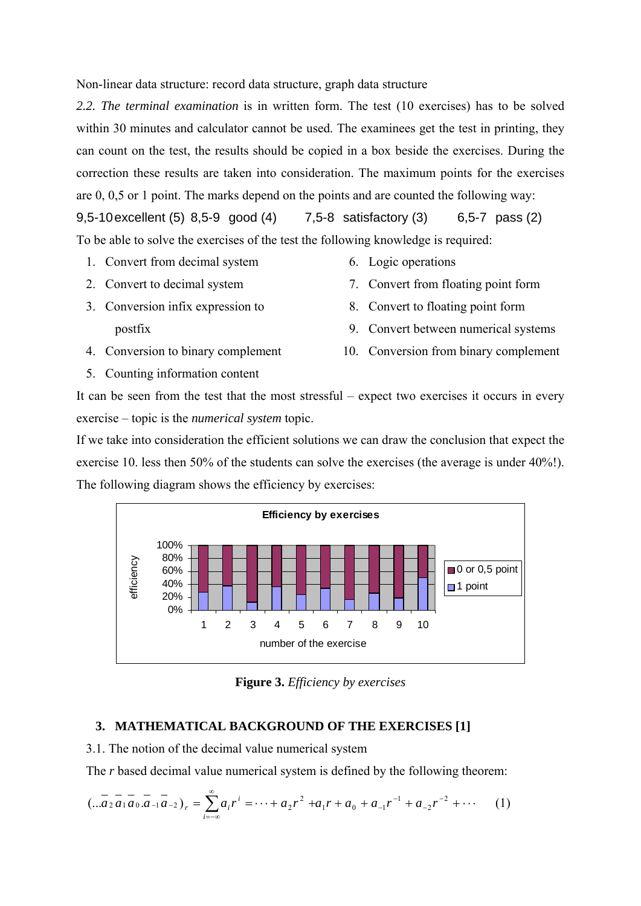Non-linear data structure: record data structure, graph data structure

*2.2. The terminal examination* is in written form. The test (10 exercises) has to be solved within 30 minutes and calculator cannot be used. The examinees get the test in printing, they can count on the test, the results should be copied in a box beside the exercises. During the correction these results are taken into consideration. The maximum points for the exercises are 0, 0,5 or 1 point. The marks depend on the points and are counted the following way:

9,5-10 excellent (5) 8,5-9 good (4) 7,5-8 satisfactory (3) 6,5-7 pass (2) To be able to solve the exercises of the test the following knowledge is required:

- 1. Convert from decimal system
- 2. Convert to decimal system
- 3. Conversion infix expression to postfix
- 4. Conversion to binary complement
- 5. Counting information content
- 6. Logic operations
- 7. Convert from floating point form
- 8. Convert to floating point form
- 9. Convert between numerical systems
- 10. Conversion from binary complement

It can be seen from the test that the most stressful – expect two exercises it occurs in every exercise – topic is the *numerical system* topic.

If we take into consideration the efficient solutions we can draw the conclusion that expect the exercise 10. less then 50% of the students can solve the exercises (the average is under 40%!). The following diagram shows the efficiency by exercises:



**Figure 3.** *Efficiency by exercises* 

## **3. MATHEMATICAL BACKGROUND OF THE EXERCISES [1]**

3.1. The notion of the decimal value numerical system

The *r* based decimal value numerical system is defined by the following theorem:

$$
(\ldots \overline{a_2 a_1 a_0} \cdot \overline{a_{-1} a_{-2}})_r = \sum_{i=-\infty}^{\infty} a_i r^i = \cdots + a_2 r^2 + a_1 r + a_0 + a_{-1} r^{-1} + a_{-2} r^{-2} + \cdots \tag{1}
$$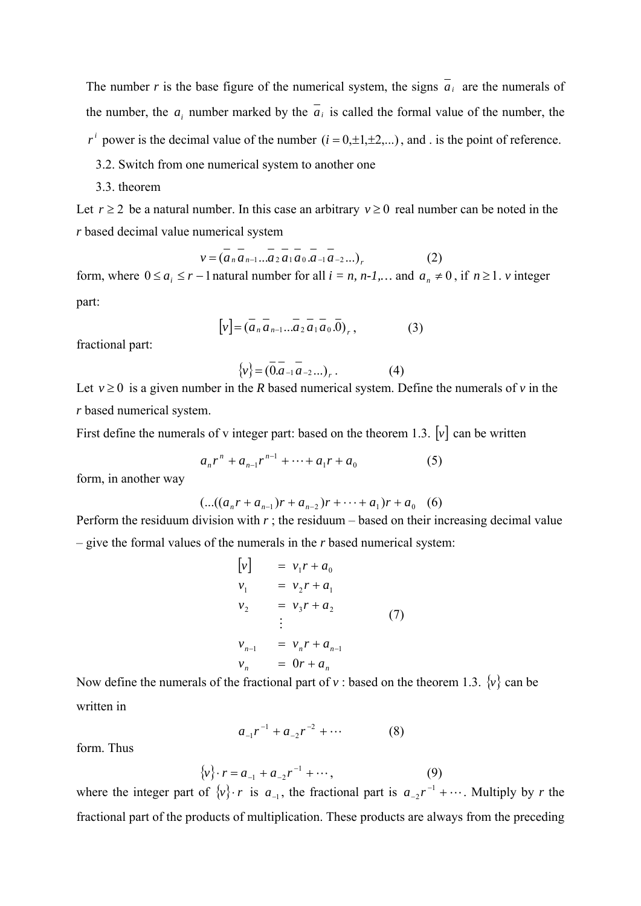The number *r* is the base figure of the numerical system, the signs  $\overline{a_i}$  are the numerals of the number, the *a<sub>i</sub>* number marked by the  $a_i$  is called the formal value of the number, the  $r^{i}$  power is the decimal value of the number  $(i = 0, \pm 1, \pm 2,...)$ , and . is the point of reference.

- 3.2. Switch from one numerical system to another one
- 3.3. theorem

Let  $r \geq 2$  be a natural number. In this case an arbitrary  $v \geq 0$  real number can be noted in the *r* based decimal value numerical system

$$
v = (\overline{a_n} \overline{a_{n-1}...a_2} \overline{a_1} \overline{a_0} \overline{a_{-1}} \overline{a_{-2}...})_r
$$
 (2)

form, where  $0 \le a_i \le r - 1$  natural number for all  $i = n, n-1,...$  and  $a_n \ne 0$ , if  $n \ge 1$ .  $\nu$  integer part:

$$
[v] = (\overline{a}_n \overline{a}_{n-1} \dots \overline{a}_2 \overline{a}_1 \overline{a}_0 \cdot \overline{0})_r, \qquad (3)
$$

fractional part:

$$
\{v\} = (\overline{0} \overline{a}_{-1} \overline{a}_{-2} \dots)_r. \tag{4}
$$

Let  $v \ge 0$  is a given number in the *R* based numerical system. Define the numerals of *v* in the *r* based numerical system.

First define the numerals of v integer part: based on the theorem 1.3. [*v*] can be written

$$
a_n r^n + a_{n-1} r^{n-1} + \dots + a_1 r + a_0 \tag{5}
$$

form, in another way

$$
(...((a_n r + a_{n-1})r + a_{n-2})r + \cdots + a_1)r + a_0 \quad (6)
$$

Perform the residuum division with  $r$ ; the residuum – based on their increasing decimal value – give the formal values of the numerals in the *r* based numerical system:

$$
\begin{aligned}\n[v] &= v_1 r + a_0 \\
v_1 &= v_2 r + a_1 \\
v_2 &= v_3 r + a_2 \\
&\vdots \\
v_{n-1} &= v_n r + a_{n-1} \\
v_n &= 0r + a_n\n\end{aligned} \tag{7}
$$

Now define the numerals of the fractional part of  $v$  : based on the theorem 1.3.  $\{v\}$  can be written in

$$
a_{-1}r^{-1} + a_{-2}r^{-2} + \cdots \tag{8}
$$

form. Thus

$$
\{v\} \cdot r = a_{-1} + a_{-2}r^{-1} + \cdots, \tag{9}
$$

where the integer part of  $\{v\} \cdot r$  is  $a_{-1}$ , the fractional part is  $a_{-2}r^{-1} + \cdots$ . Multiply by *r* the fractional part of the products of multiplication. These products are always from the preceding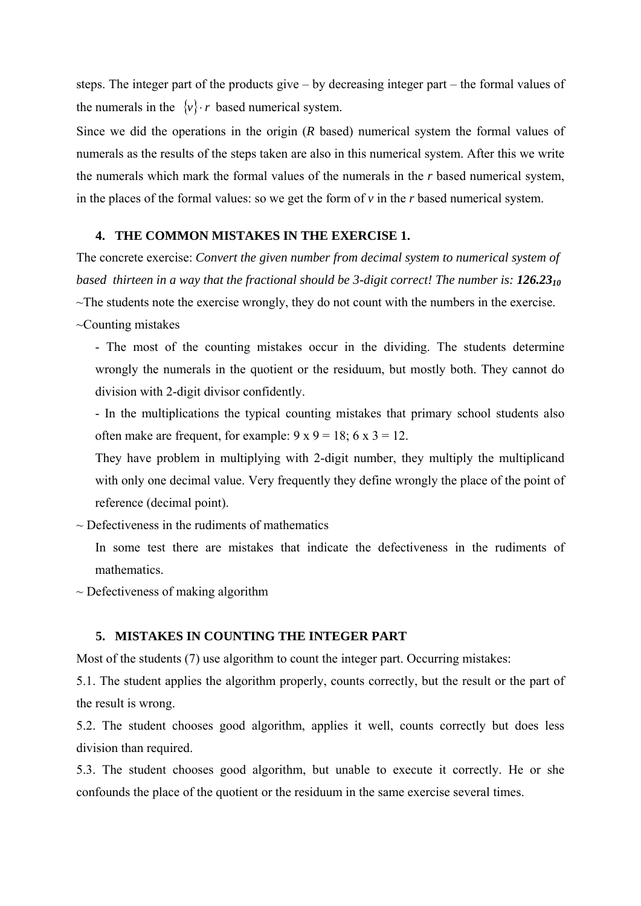steps. The integer part of the products give – by decreasing integer part – the formal values of the numerals in the  $\{v\} \cdot r$  based numerical system.

Since we did the operations in the origin (*R* based) numerical system the formal values of numerals as the results of the steps taken are also in this numerical system. After this we write the numerals which mark the formal values of the numerals in the *r* based numerical system, in the places of the formal values: so we get the form of *v* in the *r* based numerical system.

#### **4. THE COMMON MISTAKES IN THE EXERCISE 1.**

The concrete exercise: *Convert the given number from decimal system to numerical system of based thirteen in a way that the fractional should be 3-digit correct! The number is: 126.23<sub>10</sub>*  $\sim$ The students note the exercise wrongly, they do not count with the numbers in the exercise.

~Counting mistakes

- The most of the counting mistakes occur in the dividing. The students determine wrongly the numerals in the quotient or the residuum, but mostly both. They cannot do division with 2-digit divisor confidently.

- In the multiplications the typical counting mistakes that primary school students also often make are frequent, for example:  $9 \times 9 = 18$ ;  $6 \times 3 = 12$ .

They have problem in multiplying with 2-digit number, they multiply the multiplicand with only one decimal value. Very frequently they define wrongly the place of the point of reference (decimal point).

 $\sim$  Defectiveness in the rudiments of mathematics

In some test there are mistakes that indicate the defectiveness in the rudiments of mathematics.

 $\sim$  Defectiveness of making algorithm

### **5. MISTAKES IN COUNTING THE INTEGER PART**

Most of the students (7) use algorithm to count the integer part. Occurring mistakes:

5.1. The student applies the algorithm properly, counts correctly, but the result or the part of the result is wrong.

5.2. The student chooses good algorithm, applies it well, counts correctly but does less division than required.

5.3. The student chooses good algorithm, but unable to execute it correctly. He or she confounds the place of the quotient or the residuum in the same exercise several times.